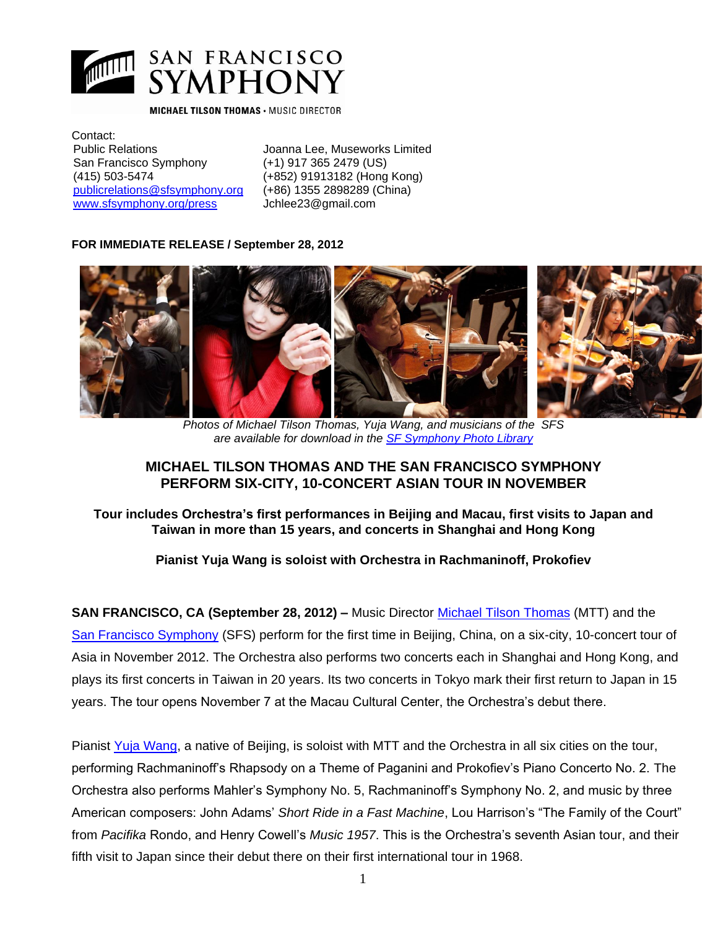

#### **MICHAEL TILSON THOMAS · MUSIC DIRECTOR**

Contact: Public Relations Joanna Lee, Museworks Limited San Francisco Symphony (+1) 917 365 2479 (US) (415) 503-5474 (+852) 91913182 (Hong Kong) [publicrelations@sfsymphony.org](mailto:publicrelations@sfsymphony.org) (+86) 1355 2898289 (China) [www.sfsymphony.org/press](file:///C:/Documents%20and%20Settings/theil/Local%20Settings/Temporary%20Internet%20Files/Content.Outlook/2PF8NXLK/www.sfsymphony.org/press) Jchlee23@gmail.com

#### **FOR IMMEDIATE RELEASE / September 28, 2012**



*Photos of Michael Tilson Thomas, Yuja Wang, and musicians of the SFS are available for download in the [SF Symphony Photo Library](http://www.sfsymphony.org/About-Us/Press-Room/Photo-Library)*

# **MICHAEL TILSON THOMAS AND THE SAN FRANCISCO SYMPHONY PERFORM SIX-CITY, 10-CONCERT ASIAN TOUR IN NOVEMBER**

**Tour includes Orchestra's first performances in Beijing and Macau, first visits to Japan and Taiwan in more than 15 years, and concerts in Shanghai and Hong Kong** 

# **Pianist Yuja Wang is soloist with Orchestra in Rachmaninoff, Prokofiev**

**SAN FRANCISCO, CA (September 28, 2012) –** Music Director [Michael Tilson Thomas](http://www.michaeltilsonthomas.com/) (MTT) and the [San Francisco Symphony](http://www.sfsymphony.org/UploadedFiles/about/press/PressKits/SFSBio0910.pdf) (SFS) perform for the first time in Beijing, China, on a six-city, 10-concert tour of Asia in November 2012. The Orchestra also performs two concerts each in Shanghai and Hong Kong, and plays its first concerts in Taiwan in 20 years. Its two concerts in Tokyo mark their first return to Japan in 15 years. The tour opens November 7 at the Macau Cultural Center, the Orchestra's debut there.

Pianist [Yuja Wang,](http://www.yujawang.com/) a native of Beijing, is soloist with MTT and the Orchestra in all six cities on the tour, performing Rachmaninoff's Rhapsody on a Theme of Paganini and Prokofiev's Piano Concerto No. 2. The Orchestra also performs Mahler's Symphony No. 5, Rachmaninoff's Symphony No. 2, and music by three American composers: John Adams' *Short Ride in a Fast Machine*, Lou Harrison's "The Family of the Court" from *Pacifika* Rondo, and Henry Cowell's *Music 1957*. This is the Orchestra's seventh Asian tour, and their fifth visit to Japan since their debut there on their first international tour in 1968.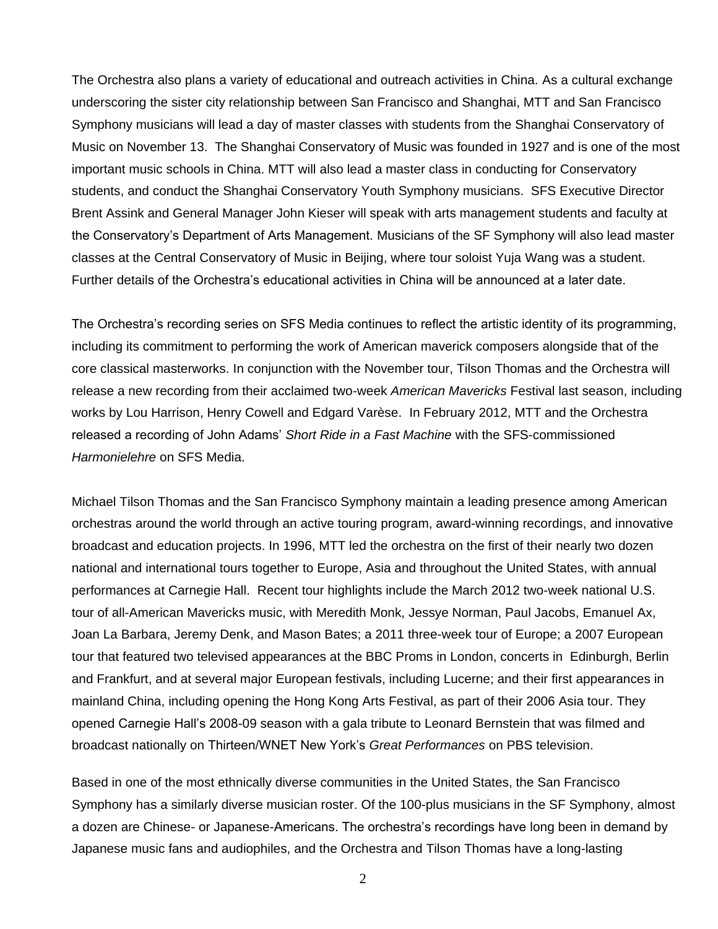The Orchestra also plans a variety of educational and outreach activities in China. As a cultural exchange underscoring the sister city relationship between San Francisco and Shanghai, MTT and San Francisco Symphony musicians will lead a day of master classes with students from the Shanghai Conservatory of Music on November 13. The Shanghai Conservatory of Music was founded in 1927 and is one of the most important music schools in China. MTT will also lead a master class in conducting for Conservatory students, and conduct the Shanghai Conservatory Youth Symphony musicians. SFS Executive Director Brent Assink and General Manager John Kieser will speak with arts management students and faculty at the Conservatory's Department of Arts Management. Musicians of the SF Symphony will also lead master classes at the Central Conservatory of Music in Beijing, where tour soloist Yuja Wang was a student. Further details of the Orchestra's educational activities in China will be announced at a later date.

The Orchestra's recording series on SFS Media continues to reflect the artistic identity of its programming, including its commitment to performing the work of American maverick composers alongside that of the core classical masterworks. In conjunction with the November tour, Tilson Thomas and the Orchestra will release a new recording from their acclaimed two-week *American Mavericks* Festival last season, including works by Lou Harrison, Henry Cowell and Edgard Varèse. In February 2012, MTT and the Orchestra released a recording of John Adams' *Short Ride in a Fast Machine* with the SFS-commissioned *Harmonielehre* on SFS Media.

Michael Tilson Thomas and the San Francisco Symphony maintain a leading presence among American orchestras around the world through an active touring program, award-winning recordings, and innovative broadcast and education projects. In 1996, MTT led the orchestra on the first of their nearly two dozen national and international tours together to Europe, Asia and throughout the United States, with annual performances at Carnegie Hall. Recent tour highlights include the March 2012 two-week national U.S. tour of all-American Mavericks music, with Meredith Monk, Jessye Norman, Paul Jacobs, Emanuel Ax, Joan La Barbara, Jeremy Denk, and Mason Bates; a 2011 three-week tour of Europe; a 2007 European tour that featured two televised appearances at the BBC Proms in London, concerts in Edinburgh, Berlin and Frankfurt, and at several major European festivals, including Lucerne; and their first appearances in mainland China, including opening the Hong Kong Arts Festival, as part of their 2006 Asia tour. They opened Carnegie Hall's 2008-09 season with a gala tribute to Leonard Bernstein that was filmed and broadcast nationally on Thirteen/WNET New York's *Great Performances* on PBS television.

Based in one of the most ethnically diverse communities in the United States, the San Francisco Symphony has a similarly diverse musician roster. Of the 100-plus musicians in the SF Symphony, almost a dozen are Chinese- or Japanese-Americans. The orchestra's recordings have long been in demand by Japanese music fans and audiophiles, and the Orchestra and Tilson Thomas have a long-lasting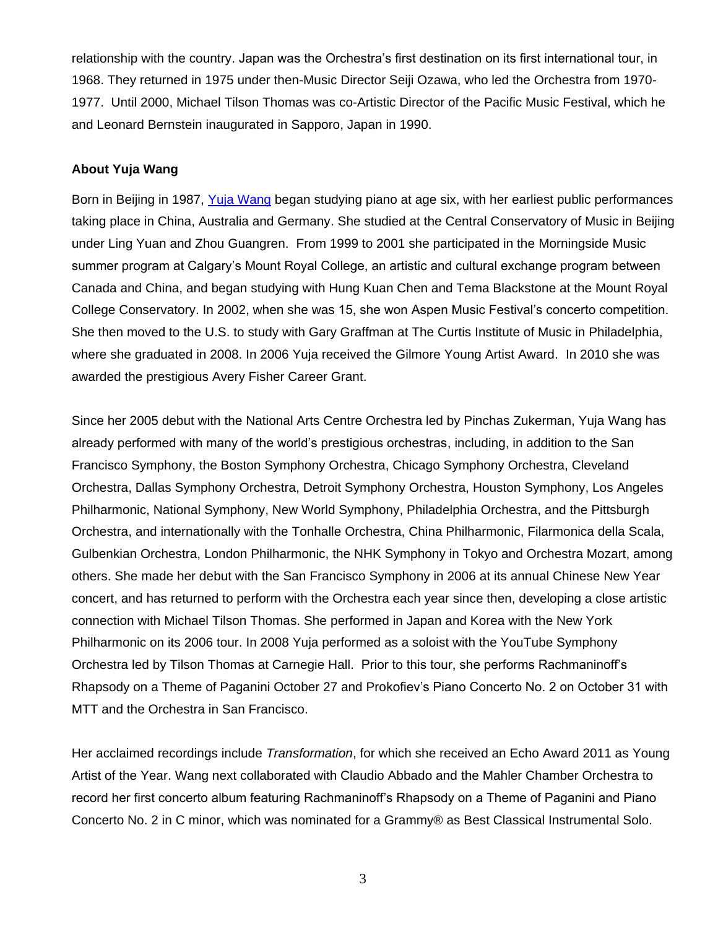relationship with the country. Japan was the Orchestra's first destination on its first international tour, in 1968. They returned in 1975 under then-Music Director Seiji Ozawa, who led the Orchestra from 1970- 1977. Until 2000, Michael Tilson Thomas was co-Artistic Director of the Pacific Music Festival, which he and Leonard Bernstein inaugurated in Sapporo, Japan in 1990.

## **About Yuja Wang**

Born in Beijing in 1987, [Yuja Wang](http://www.opus3artists.com/artists/yuja-wang/) began studying piano at age six, with her earliest public performances taking place in China, Australia and Germany. She studied at the Central Conservatory of Music in Beijing under Ling Yuan and Zhou Guangren. From 1999 to 2001 she participated in the Morningside Music summer program at Calgary's Mount Royal College, an artistic and cultural exchange program between Canada and China, and began studying with Hung Kuan Chen and Tema Blackstone at the Mount Royal College Conservatory. In 2002, when she was 15, she won Aspen Music Festival's concerto competition. She then moved to the U.S. to study with Gary Graffman at The Curtis Institute of Music in Philadelphia, where she graduated in 2008. In 2006 Yuja received the Gilmore Young Artist Award. In 2010 she was awarded the prestigious Avery Fisher Career Grant.

Since her 2005 debut with the National Arts Centre Orchestra led by Pinchas Zukerman, Yuja Wang has already performed with many of the world's prestigious orchestras, including, in addition to the San Francisco Symphony, the Boston Symphony Orchestra, Chicago Symphony Orchestra, Cleveland Orchestra, Dallas Symphony Orchestra, Detroit Symphony Orchestra, Houston Symphony, Los Angeles Philharmonic, National Symphony, New World Symphony, Philadelphia Orchestra, and the Pittsburgh Orchestra, and internationally with the Tonhalle Orchestra, China Philharmonic, Filarmonica della Scala, Gulbenkian Orchestra, London Philharmonic, the NHK Symphony in Tokyo and Orchestra Mozart, among others. She made her debut with the San Francisco Symphony in 2006 at its annual Chinese New Year concert, and has returned to perform with the Orchestra each year since then, developing a close artistic connection with Michael Tilson Thomas. She performed in Japan and Korea with the New York Philharmonic on its 2006 tour. In 2008 Yuja performed as a soloist with the YouTube Symphony Orchestra led by Tilson Thomas at Carnegie Hall. Prior to this tour, she performs Rachmaninoff's Rhapsody on a Theme of Paganini October 27 and Prokofiev's Piano Concerto No. 2 on October 31 with MTT and the Orchestra in San Francisco.

Her acclaimed recordings include *Transformation*, for which she received an Echo Award 2011 as Young Artist of the Year. Wang next collaborated with Claudio Abbado and the Mahler Chamber Orchestra to record her first concerto album featuring Rachmaninoff's Rhapsody on a Theme of Paganini and Piano Concerto No. 2 in C minor, which was nominated for a Grammy® as Best Classical Instrumental Solo.

3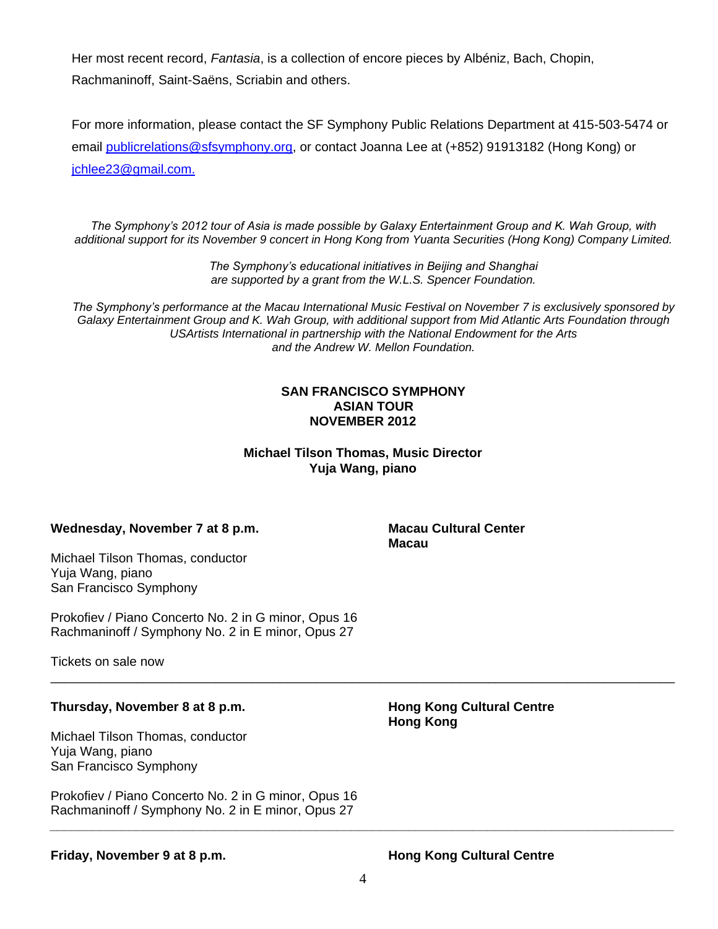Her most recent record, *Fantasia*, is a collection of encore pieces by Albéniz, Bach, Chopin, Rachmaninoff, Saint-Saëns, Scriabin and others.

For more information, please contact the SF Symphony Public Relations Department at 415-503-5474 or email [publicrelations@sfsymphony.org,](mailto:publicrelations@sfsymphony.org) or contact Joanna Lee at (+852) 91913182 (Hong Kong) or [jchlee23@gmail.com.](mailto:jchlee23@gmail.com)

*The Symphony's 2012 tour of Asia is made possible by Galaxy Entertainment Group and K. Wah Group, with additional support for its November 9 concert in Hong Kong from Yuanta Securities (Hong Kong) Company Limited.*

> *The Symphony's educational initiatives in Beijing and Shanghai are supported by a grant from the W.L.S. Spencer Foundation.*

*The Symphony's performance at the Macau International Music Festival on November 7 is exclusively sponsored by Galaxy Entertainment Group and K. Wah Group, with additional support from Mid Atlantic Arts Foundation through USArtists International in partnership with the National Endowment for the Arts and the Andrew W. Mellon Foundation.*

## **SAN FRANCISCO SYMPHONY ASIAN TOUR NOVEMBER 2012**

**Michael Tilson Thomas, Music Director Yuja Wang, piano**

# **Wednesday, November 7 at 8 p.m. Macau Cultural Center**

Michael Tilson Thomas, conductor Yuja Wang, piano San Francisco Symphony

Prokofiev / Piano Concerto No. 2 in G minor, Opus 16 Rachmaninoff / Symphony No. 2 in E minor, Opus 27

Tickets on sale now

# **Thursday, November 8 at 8 p.m. Hong Kong Cultural Centre**

Michael Tilson Thomas, conductor Yuja Wang, piano San Francisco Symphony

Prokofiev / Piano Concerto No. 2 in G minor, Opus 16 Rachmaninoff / Symphony No. 2 in E minor, Opus 27

**Macau**

**Hong Kong**

**Friday, November 9 at 8 p.m. Hong Kong Cultural Centre**

*\_\_\_\_\_\_\_\_\_\_\_\_\_\_\_\_\_\_\_\_\_\_\_\_\_\_\_\_\_\_\_\_\_\_\_\_\_\_\_\_\_\_\_\_\_\_\_\_\_\_\_\_\_\_\_\_\_\_\_\_\_\_\_\_\_\_\_\_\_\_\_\_\_\_\_\_\_\_\_\_\_\_\_\_\_\_\_*

\_\_\_\_\_\_\_\_\_\_\_\_\_\_\_\_\_\_\_\_\_\_\_\_\_\_\_\_\_\_\_\_\_\_\_\_\_\_\_\_\_\_\_\_\_\_\_\_\_\_\_\_\_\_\_\_\_\_\_\_\_\_\_\_\_\_\_\_\_\_\_\_\_\_\_\_\_\_\_\_\_\_\_\_\_\_\_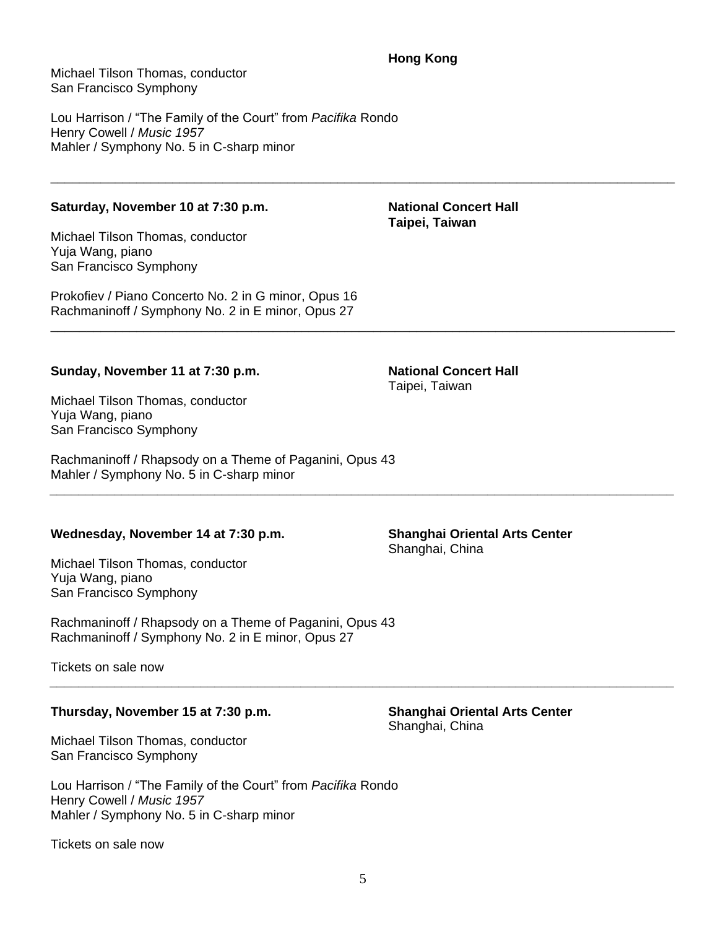# **Hong Kong**

\_\_\_\_\_\_\_\_\_\_\_\_\_\_\_\_\_\_\_\_\_\_\_\_\_\_\_\_\_\_\_\_\_\_\_\_\_\_\_\_\_\_\_\_\_\_\_\_\_\_\_\_\_\_\_\_\_\_\_\_\_\_\_\_\_\_\_\_\_\_\_\_\_\_\_\_\_\_\_\_\_\_\_\_\_\_\_

\_\_\_\_\_\_\_\_\_\_\_\_\_\_\_\_\_\_\_\_\_\_\_\_\_\_\_\_\_\_\_\_\_\_\_\_\_\_\_\_\_\_\_\_\_\_\_\_\_\_\_\_\_\_\_\_\_\_\_\_\_\_\_\_\_\_\_\_\_\_\_\_\_\_\_\_\_\_\_\_\_\_\_\_\_\_\_

*\_\_\_\_\_\_\_\_\_\_\_\_\_\_\_\_\_\_\_\_\_\_\_\_\_\_\_\_\_\_\_\_\_\_\_\_\_\_\_\_\_\_\_\_\_\_\_\_\_\_\_\_\_\_\_\_\_\_\_\_\_\_\_\_\_\_\_\_\_\_\_\_\_\_\_\_\_\_\_\_\_\_\_\_\_\_\_*

*\_\_\_\_\_\_\_\_\_\_\_\_\_\_\_\_\_\_\_\_\_\_\_\_\_\_\_\_\_\_\_\_\_\_\_\_\_\_\_\_\_\_\_\_\_\_\_\_\_\_\_\_\_\_\_\_\_\_\_\_\_\_\_\_\_\_\_\_\_\_\_\_\_\_\_\_\_\_\_\_\_\_\_\_\_\_\_*

Michael Tilson Thomas, conductor San Francisco Symphony

Lou Harrison / "The Family of the Court" from *Pacifika* Rondo Henry Cowell / *Music 1957* Mahler / Symphony No. 5 in C-sharp minor

# Saturday, November 10 at 7:30 p.m. National Concert Hall

Michael Tilson Thomas, conductor Yuja Wang, piano San Francisco Symphony

Prokofiev / Piano Concerto No. 2 in G minor, Opus 16 Rachmaninoff / Symphony No. 2 in E minor, Opus 27

## **Sunday, November 11 at 7:30 p.m. National Concert Hall**

Michael Tilson Thomas, conductor Yuja Wang, piano San Francisco Symphony

Rachmaninoff / Rhapsody on a Theme of Paganini, Opus 43 Mahler / Symphony No. 5 in C-sharp minor

## **Wednesday, November 14 at 7:30 p.m. Shanghai Oriental Arts Center**

Michael Tilson Thomas, conductor Yuja Wang, piano San Francisco Symphony

Rachmaninoff / Rhapsody on a Theme of Paganini, Opus 43 Rachmaninoff / Symphony No. 2 in E minor, Opus 27

Tickets on sale now

## **Thursday, November 15 at 7:30 p.m. Shanghai Oriental Arts Center**

Michael Tilson Thomas, conductor San Francisco Symphony

Lou Harrison / "The Family of the Court" from *Pacifika* Rondo Henry Cowell / *Music 1957* Mahler / Symphony No. 5 in C-sharp minor

Tickets on sale now

Shanghai, China

**Taipei, Taiwan**

Taipei, Taiwan

Shanghai, China